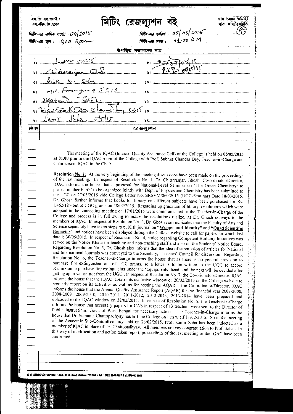| মিটিং-এর তারিখ : ০5  ০5  2016<br>মিটিং-এর সময় :     ০1, ০০   A M<br>मिकि- अब हान: $18AC$ <i>Room</i><br>উপস্থিত সভ্যগনের নাম<br>$\frac{1}{1}$<br>$= 2\sqrt{65}$ os 15<br>1 Listeraje abl<br>of Bric K. Seha<br>81 Md Fourgue 5515<br>1 Dagabantu CAD.<br><u>un lignation characters son municipales in municipales and some state of the south of the south of the south of the south of the south of the south of the south of the south of the south of the south of the south of the s</u><br>$\int_{a}$ $\int_{a}^{b}$ $\int_{a}^{b}$ $\int_{a}^{b}$ $\int_{a}^{b}$ $\int_{a}^{b}$ $\int_{a}^{b}$ $\int_{a}^{b}$ $\int_{a}^{b}$ $\int_{a}^{b}$ $\int_{a}^{b}$ $\int_{a}^{b}$ $\int_{a}^{b}$ $\int_{a}^{b}$ $\int_{a}^{b}$ $\int_{a}^{b}$ $\int_{a}^{b}$ $\int_{a}^{b}$ $\int_{a}^{b}$ $\int_{a}^{b}$ $\int_{$<br>मोर गड़ा<br>রেজল্যশন<br>The meeting of the IQAC (Internal Quality Assurance Cell) of the College is held on 05/05/2015<br>at 01.00 p.m in the IQAC room of the College with Prof. Subhas Chandra Dey, Teacher-in-Charge and<br>Chairperson, IQAC in the Chair.<br>Resolution No. 1: At the very beginning of the meeting discussions have been made on the proceedings<br>of the last meeting. In respect of Resolution No. 1, Dr. Chittaranjan Ghosh, Co-ordinator/Director,<br>IQAC informs the house that a proposal for National-Level Seminar on 'The Green Chemistry: to<br>protect mother Earth' to be organized jointly with Dept. of Physics and Chemistry has been submitted to<br>the UGC on 27/03/2015 vide College Letter No. SRSVM/060/2015 (UGC-Seminar) Date 18/03/2015.<br>Dr. Ghosh further informs that books for library on different subjects have been purchased for Rs.<br>1,46,518/- out of UGC grants on 28/02/2015. Regarding up gradation of library, resolutions which were<br>adopted in the connecting meeting on 17/01/2015 were communicated to the Teacher-in-Charge of the<br>College and process is in full swing to make the resolutions realize, as Dr. Ghosh conveys to the<br>members of IQAC. In respect of Resolution No. 3, Dr. Ghosh communicates that the Faculty of Arts and<br>Science separately have taken steps to publish journal on "Women and Identity" and "Quad Scientific<br>Reporter" and notices have been displayed through the College website to call for papers for which last<br>date is 30/06/2015. In respect of Resolution No. 4, notice regarding Competent Building Initiatives was<br>served on the Notice Khata for teaching and non-teaching staff and also on the Students' Notice Board.<br>Regarding Resolution No. 5, Dr, Ghosh also informs that the idea of submission of articles for National<br>and International Journals was conveyed to the Secretary, Teachers' Council for discussion. Regarding<br>Resolution No. 6, the Teacher-in-Charge informs the house that as there is no general provision to<br>purchase fire extinguisher out of UGC grants, so a letter is to be written to the UGC to accord<br>permission to purchase fire extinguisher under the 'Equipments' head and the next will be decided after<br>getting approval or not from the UGC. In respect of Resolution No. 7, the Co-oridnator/Director, IQAC<br>informs the house that the IQAC creates its exclusive window on 20/02/2015 on the College website to<br>regularly report on its activities as well as for hosting the AQAR. The Co-ordinator/Director, IQAC<br>informs the house that the Annual Quality Assurance Report (AQAR) for the financial year 2007-2008,<br>2008-2009, 2009-2010, 2010-2011. 2011-2012, 2012-2013, 2013-2014 have been prepared and<br>uploaded to the IQAC window on 28/02/2015. In respect of Resolution No. 8, the Teacher-in-Charge<br>informs the house that necessary papers for CAS in respect of 13 teachers were sent to the Director of<br>Public Instructions, Govt. of West Bengal for necessary action. The Teacher-in-Charge informs the<br>house that Dr. Sumanta Chattopadhyay has left the College on lien w.e.f 11/02/2015. So in the meeting<br>of the Academic Sub-Committee duly held on 23/02/2015, Prof. Samir Saha has been inducted as a<br>member of IQAC in place of Dr. Chattopadhyay. All members convey congratulation to Prof. Saha. In<br>this way of modification and action taken report, proceedings of the last meeting of the IQAC have been<br>confirmed.<br>B. B. KUNDU ENTERPRISE + 62/1, M. G. Read, Kelkata 700 000 + Tel. : (033) 2241 9407 & (033) 6457 8962 | মিটিং-এর ক্রমিক সংখ্যা : $\mathcal{O}4$ 20 l $5^{\circ}$ |  |  |  |
|-------------------------------------------------------------------------------------------------------------------------------------------------------------------------------------------------------------------------------------------------------------------------------------------------------------------------------------------------------------------------------------------------------------------------------------------------------------------------------------------------------------------------------------------------------------------------------------------------------------------------------------------------------------------------------------------------------------------------------------------------------------------------------------------------------------------------------------------------------------------------------------------------------------------------------------------------------------------------------------------------------------------------------------------------------------------------------------------------------------------------------------------------------------------------------------------------------------------------------------------------------------------------------------------------------------------------------------------------------------------------------------------------------------------------------------------------------------------------------------------------------------------------------------------------------------------------------------------------------------------------------------------------------------------------------------------------------------------------------------------------------------------------------------------------------------------------------------------------------------------------------------------------------------------------------------------------------------------------------------------------------------------------------------------------------------------------------------------------------------------------------------------------------------------------------------------------------------------------------------------------------------------------------------------------------------------------------------------------------------------------------------------------------------------------------------------------------------------------------------------------------------------------------------------------------------------------------------------------------------------------------------------------------------------------------------------------------------------------------------------------------------------------------------------------------------------------------------------------------------------------------------------------------------------------------------------------------------------------------------------------------------------------------------------------------------------------------------------------------------------------------------------------------------------------------------------------------------------------------------------------------------------------------------------------------------------------------------------------------------------------------------------------------------------------------------------------------------------------------------------------------------------------------------------------------------------------------------------------------------------------------------------------------------------------------------------------------------------------------------------------------------------------------------------------------------------------------------------------------------------------------------------------------------------------------------------------------------------------------------------------------------------------------------------------------------------------------------------------------------------------------------------------------------------------------------------------------------------------------------------------------------------------------------------------------------------------------------------------------------------------------------------------------------------------------------------------------------------------------------------------------------------------------|----------------------------------------------------------|--|--|--|
|                                                                                                                                                                                                                                                                                                                                                                                                                                                                                                                                                                                                                                                                                                                                                                                                                                                                                                                                                                                                                                                                                                                                                                                                                                                                                                                                                                                                                                                                                                                                                                                                                                                                                                                                                                                                                                                                                                                                                                                                                                                                                                                                                                                                                                                                                                                                                                                                                                                                                                                                                                                                                                                                                                                                                                                                                                                                                                                                                                                                                                                                                                                                                                                                                                                                                                                                                                                                                                                                                                                                                                                                                                                                                                                                                                                                                                                                                                                                                                                                                                                                                                                                                                                                                                                                                                                                                                                                                                                                                                                               |                                                          |  |  |  |
|                                                                                                                                                                                                                                                                                                                                                                                                                                                                                                                                                                                                                                                                                                                                                                                                                                                                                                                                                                                                                                                                                                                                                                                                                                                                                                                                                                                                                                                                                                                                                                                                                                                                                                                                                                                                                                                                                                                                                                                                                                                                                                                                                                                                                                                                                                                                                                                                                                                                                                                                                                                                                                                                                                                                                                                                                                                                                                                                                                                                                                                                                                                                                                                                                                                                                                                                                                                                                                                                                                                                                                                                                                                                                                                                                                                                                                                                                                                                                                                                                                                                                                                                                                                                                                                                                                                                                                                                                                                                                                                               |                                                          |  |  |  |
|                                                                                                                                                                                                                                                                                                                                                                                                                                                                                                                                                                                                                                                                                                                                                                                                                                                                                                                                                                                                                                                                                                                                                                                                                                                                                                                                                                                                                                                                                                                                                                                                                                                                                                                                                                                                                                                                                                                                                                                                                                                                                                                                                                                                                                                                                                                                                                                                                                                                                                                                                                                                                                                                                                                                                                                                                                                                                                                                                                                                                                                                                                                                                                                                                                                                                                                                                                                                                                                                                                                                                                                                                                                                                                                                                                                                                                                                                                                                                                                                                                                                                                                                                                                                                                                                                                                                                                                                                                                                                                                               |                                                          |  |  |  |
|                                                                                                                                                                                                                                                                                                                                                                                                                                                                                                                                                                                                                                                                                                                                                                                                                                                                                                                                                                                                                                                                                                                                                                                                                                                                                                                                                                                                                                                                                                                                                                                                                                                                                                                                                                                                                                                                                                                                                                                                                                                                                                                                                                                                                                                                                                                                                                                                                                                                                                                                                                                                                                                                                                                                                                                                                                                                                                                                                                                                                                                                                                                                                                                                                                                                                                                                                                                                                                                                                                                                                                                                                                                                                                                                                                                                                                                                                                                                                                                                                                                                                                                                                                                                                                                                                                                                                                                                                                                                                                                               |                                                          |  |  |  |
|                                                                                                                                                                                                                                                                                                                                                                                                                                                                                                                                                                                                                                                                                                                                                                                                                                                                                                                                                                                                                                                                                                                                                                                                                                                                                                                                                                                                                                                                                                                                                                                                                                                                                                                                                                                                                                                                                                                                                                                                                                                                                                                                                                                                                                                                                                                                                                                                                                                                                                                                                                                                                                                                                                                                                                                                                                                                                                                                                                                                                                                                                                                                                                                                                                                                                                                                                                                                                                                                                                                                                                                                                                                                                                                                                                                                                                                                                                                                                                                                                                                                                                                                                                                                                                                                                                                                                                                                                                                                                                                               |                                                          |  |  |  |
|                                                                                                                                                                                                                                                                                                                                                                                                                                                                                                                                                                                                                                                                                                                                                                                                                                                                                                                                                                                                                                                                                                                                                                                                                                                                                                                                                                                                                                                                                                                                                                                                                                                                                                                                                                                                                                                                                                                                                                                                                                                                                                                                                                                                                                                                                                                                                                                                                                                                                                                                                                                                                                                                                                                                                                                                                                                                                                                                                                                                                                                                                                                                                                                                                                                                                                                                                                                                                                                                                                                                                                                                                                                                                                                                                                                                                                                                                                                                                                                                                                                                                                                                                                                                                                                                                                                                                                                                                                                                                                                               |                                                          |  |  |  |
|                                                                                                                                                                                                                                                                                                                                                                                                                                                                                                                                                                                                                                                                                                                                                                                                                                                                                                                                                                                                                                                                                                                                                                                                                                                                                                                                                                                                                                                                                                                                                                                                                                                                                                                                                                                                                                                                                                                                                                                                                                                                                                                                                                                                                                                                                                                                                                                                                                                                                                                                                                                                                                                                                                                                                                                                                                                                                                                                                                                                                                                                                                                                                                                                                                                                                                                                                                                                                                                                                                                                                                                                                                                                                                                                                                                                                                                                                                                                                                                                                                                                                                                                                                                                                                                                                                                                                                                                                                                                                                                               |                                                          |  |  |  |
|                                                                                                                                                                                                                                                                                                                                                                                                                                                                                                                                                                                                                                                                                                                                                                                                                                                                                                                                                                                                                                                                                                                                                                                                                                                                                                                                                                                                                                                                                                                                                                                                                                                                                                                                                                                                                                                                                                                                                                                                                                                                                                                                                                                                                                                                                                                                                                                                                                                                                                                                                                                                                                                                                                                                                                                                                                                                                                                                                                                                                                                                                                                                                                                                                                                                                                                                                                                                                                                                                                                                                                                                                                                                                                                                                                                                                                                                                                                                                                                                                                                                                                                                                                                                                                                                                                                                                                                                                                                                                                                               |                                                          |  |  |  |
|                                                                                                                                                                                                                                                                                                                                                                                                                                                                                                                                                                                                                                                                                                                                                                                                                                                                                                                                                                                                                                                                                                                                                                                                                                                                                                                                                                                                                                                                                                                                                                                                                                                                                                                                                                                                                                                                                                                                                                                                                                                                                                                                                                                                                                                                                                                                                                                                                                                                                                                                                                                                                                                                                                                                                                                                                                                                                                                                                                                                                                                                                                                                                                                                                                                                                                                                                                                                                                                                                                                                                                                                                                                                                                                                                                                                                                                                                                                                                                                                                                                                                                                                                                                                                                                                                                                                                                                                                                                                                                                               |                                                          |  |  |  |
|                                                                                                                                                                                                                                                                                                                                                                                                                                                                                                                                                                                                                                                                                                                                                                                                                                                                                                                                                                                                                                                                                                                                                                                                                                                                                                                                                                                                                                                                                                                                                                                                                                                                                                                                                                                                                                                                                                                                                                                                                                                                                                                                                                                                                                                                                                                                                                                                                                                                                                                                                                                                                                                                                                                                                                                                                                                                                                                                                                                                                                                                                                                                                                                                                                                                                                                                                                                                                                                                                                                                                                                                                                                                                                                                                                                                                                                                                                                                                                                                                                                                                                                                                                                                                                                                                                                                                                                                                                                                                                                               |                                                          |  |  |  |
|                                                                                                                                                                                                                                                                                                                                                                                                                                                                                                                                                                                                                                                                                                                                                                                                                                                                                                                                                                                                                                                                                                                                                                                                                                                                                                                                                                                                                                                                                                                                                                                                                                                                                                                                                                                                                                                                                                                                                                                                                                                                                                                                                                                                                                                                                                                                                                                                                                                                                                                                                                                                                                                                                                                                                                                                                                                                                                                                                                                                                                                                                                                                                                                                                                                                                                                                                                                                                                                                                                                                                                                                                                                                                                                                                                                                                                                                                                                                                                                                                                                                                                                                                                                                                                                                                                                                                                                                                                                                                                                               |                                                          |  |  |  |
|                                                                                                                                                                                                                                                                                                                                                                                                                                                                                                                                                                                                                                                                                                                                                                                                                                                                                                                                                                                                                                                                                                                                                                                                                                                                                                                                                                                                                                                                                                                                                                                                                                                                                                                                                                                                                                                                                                                                                                                                                                                                                                                                                                                                                                                                                                                                                                                                                                                                                                                                                                                                                                                                                                                                                                                                                                                                                                                                                                                                                                                                                                                                                                                                                                                                                                                                                                                                                                                                                                                                                                                                                                                                                                                                                                                                                                                                                                                                                                                                                                                                                                                                                                                                                                                                                                                                                                                                                                                                                                                               |                                                          |  |  |  |
|                                                                                                                                                                                                                                                                                                                                                                                                                                                                                                                                                                                                                                                                                                                                                                                                                                                                                                                                                                                                                                                                                                                                                                                                                                                                                                                                                                                                                                                                                                                                                                                                                                                                                                                                                                                                                                                                                                                                                                                                                                                                                                                                                                                                                                                                                                                                                                                                                                                                                                                                                                                                                                                                                                                                                                                                                                                                                                                                                                                                                                                                                                                                                                                                                                                                                                                                                                                                                                                                                                                                                                                                                                                                                                                                                                                                                                                                                                                                                                                                                                                                                                                                                                                                                                                                                                                                                                                                                                                                                                                               |                                                          |  |  |  |
|                                                                                                                                                                                                                                                                                                                                                                                                                                                                                                                                                                                                                                                                                                                                                                                                                                                                                                                                                                                                                                                                                                                                                                                                                                                                                                                                                                                                                                                                                                                                                                                                                                                                                                                                                                                                                                                                                                                                                                                                                                                                                                                                                                                                                                                                                                                                                                                                                                                                                                                                                                                                                                                                                                                                                                                                                                                                                                                                                                                                                                                                                                                                                                                                                                                                                                                                                                                                                                                                                                                                                                                                                                                                                                                                                                                                                                                                                                                                                                                                                                                                                                                                                                                                                                                                                                                                                                                                                                                                                                                               |                                                          |  |  |  |
|                                                                                                                                                                                                                                                                                                                                                                                                                                                                                                                                                                                                                                                                                                                                                                                                                                                                                                                                                                                                                                                                                                                                                                                                                                                                                                                                                                                                                                                                                                                                                                                                                                                                                                                                                                                                                                                                                                                                                                                                                                                                                                                                                                                                                                                                                                                                                                                                                                                                                                                                                                                                                                                                                                                                                                                                                                                                                                                                                                                                                                                                                                                                                                                                                                                                                                                                                                                                                                                                                                                                                                                                                                                                                                                                                                                                                                                                                                                                                                                                                                                                                                                                                                                                                                                                                                                                                                                                                                                                                                                               |                                                          |  |  |  |
|                                                                                                                                                                                                                                                                                                                                                                                                                                                                                                                                                                                                                                                                                                                                                                                                                                                                                                                                                                                                                                                                                                                                                                                                                                                                                                                                                                                                                                                                                                                                                                                                                                                                                                                                                                                                                                                                                                                                                                                                                                                                                                                                                                                                                                                                                                                                                                                                                                                                                                                                                                                                                                                                                                                                                                                                                                                                                                                                                                                                                                                                                                                                                                                                                                                                                                                                                                                                                                                                                                                                                                                                                                                                                                                                                                                                                                                                                                                                                                                                                                                                                                                                                                                                                                                                                                                                                                                                                                                                                                                               |                                                          |  |  |  |
|                                                                                                                                                                                                                                                                                                                                                                                                                                                                                                                                                                                                                                                                                                                                                                                                                                                                                                                                                                                                                                                                                                                                                                                                                                                                                                                                                                                                                                                                                                                                                                                                                                                                                                                                                                                                                                                                                                                                                                                                                                                                                                                                                                                                                                                                                                                                                                                                                                                                                                                                                                                                                                                                                                                                                                                                                                                                                                                                                                                                                                                                                                                                                                                                                                                                                                                                                                                                                                                                                                                                                                                                                                                                                                                                                                                                                                                                                                                                                                                                                                                                                                                                                                                                                                                                                                                                                                                                                                                                                                                               |                                                          |  |  |  |
|                                                                                                                                                                                                                                                                                                                                                                                                                                                                                                                                                                                                                                                                                                                                                                                                                                                                                                                                                                                                                                                                                                                                                                                                                                                                                                                                                                                                                                                                                                                                                                                                                                                                                                                                                                                                                                                                                                                                                                                                                                                                                                                                                                                                                                                                                                                                                                                                                                                                                                                                                                                                                                                                                                                                                                                                                                                                                                                                                                                                                                                                                                                                                                                                                                                                                                                                                                                                                                                                                                                                                                                                                                                                                                                                                                                                                                                                                                                                                                                                                                                                                                                                                                                                                                                                                                                                                                                                                                                                                                                               |                                                          |  |  |  |
|                                                                                                                                                                                                                                                                                                                                                                                                                                                                                                                                                                                                                                                                                                                                                                                                                                                                                                                                                                                                                                                                                                                                                                                                                                                                                                                                                                                                                                                                                                                                                                                                                                                                                                                                                                                                                                                                                                                                                                                                                                                                                                                                                                                                                                                                                                                                                                                                                                                                                                                                                                                                                                                                                                                                                                                                                                                                                                                                                                                                                                                                                                                                                                                                                                                                                                                                                                                                                                                                                                                                                                                                                                                                                                                                                                                                                                                                                                                                                                                                                                                                                                                                                                                                                                                                                                                                                                                                                                                                                                                               |                                                          |  |  |  |
|                                                                                                                                                                                                                                                                                                                                                                                                                                                                                                                                                                                                                                                                                                                                                                                                                                                                                                                                                                                                                                                                                                                                                                                                                                                                                                                                                                                                                                                                                                                                                                                                                                                                                                                                                                                                                                                                                                                                                                                                                                                                                                                                                                                                                                                                                                                                                                                                                                                                                                                                                                                                                                                                                                                                                                                                                                                                                                                                                                                                                                                                                                                                                                                                                                                                                                                                                                                                                                                                                                                                                                                                                                                                                                                                                                                                                                                                                                                                                                                                                                                                                                                                                                                                                                                                                                                                                                                                                                                                                                                               |                                                          |  |  |  |
|                                                                                                                                                                                                                                                                                                                                                                                                                                                                                                                                                                                                                                                                                                                                                                                                                                                                                                                                                                                                                                                                                                                                                                                                                                                                                                                                                                                                                                                                                                                                                                                                                                                                                                                                                                                                                                                                                                                                                                                                                                                                                                                                                                                                                                                                                                                                                                                                                                                                                                                                                                                                                                                                                                                                                                                                                                                                                                                                                                                                                                                                                                                                                                                                                                                                                                                                                                                                                                                                                                                                                                                                                                                                                                                                                                                                                                                                                                                                                                                                                                                                                                                                                                                                                                                                                                                                                                                                                                                                                                                               |                                                          |  |  |  |
|                                                                                                                                                                                                                                                                                                                                                                                                                                                                                                                                                                                                                                                                                                                                                                                                                                                                                                                                                                                                                                                                                                                                                                                                                                                                                                                                                                                                                                                                                                                                                                                                                                                                                                                                                                                                                                                                                                                                                                                                                                                                                                                                                                                                                                                                                                                                                                                                                                                                                                                                                                                                                                                                                                                                                                                                                                                                                                                                                                                                                                                                                                                                                                                                                                                                                                                                                                                                                                                                                                                                                                                                                                                                                                                                                                                                                                                                                                                                                                                                                                                                                                                                                                                                                                                                                                                                                                                                                                                                                                                               |                                                          |  |  |  |
|                                                                                                                                                                                                                                                                                                                                                                                                                                                                                                                                                                                                                                                                                                                                                                                                                                                                                                                                                                                                                                                                                                                                                                                                                                                                                                                                                                                                                                                                                                                                                                                                                                                                                                                                                                                                                                                                                                                                                                                                                                                                                                                                                                                                                                                                                                                                                                                                                                                                                                                                                                                                                                                                                                                                                                                                                                                                                                                                                                                                                                                                                                                                                                                                                                                                                                                                                                                                                                                                                                                                                                                                                                                                                                                                                                                                                                                                                                                                                                                                                                                                                                                                                                                                                                                                                                                                                                                                                                                                                                                               |                                                          |  |  |  |
|                                                                                                                                                                                                                                                                                                                                                                                                                                                                                                                                                                                                                                                                                                                                                                                                                                                                                                                                                                                                                                                                                                                                                                                                                                                                                                                                                                                                                                                                                                                                                                                                                                                                                                                                                                                                                                                                                                                                                                                                                                                                                                                                                                                                                                                                                                                                                                                                                                                                                                                                                                                                                                                                                                                                                                                                                                                                                                                                                                                                                                                                                                                                                                                                                                                                                                                                                                                                                                                                                                                                                                                                                                                                                                                                                                                                                                                                                                                                                                                                                                                                                                                                                                                                                                                                                                                                                                                                                                                                                                                               |                                                          |  |  |  |
|                                                                                                                                                                                                                                                                                                                                                                                                                                                                                                                                                                                                                                                                                                                                                                                                                                                                                                                                                                                                                                                                                                                                                                                                                                                                                                                                                                                                                                                                                                                                                                                                                                                                                                                                                                                                                                                                                                                                                                                                                                                                                                                                                                                                                                                                                                                                                                                                                                                                                                                                                                                                                                                                                                                                                                                                                                                                                                                                                                                                                                                                                                                                                                                                                                                                                                                                                                                                                                                                                                                                                                                                                                                                                                                                                                                                                                                                                                                                                                                                                                                                                                                                                                                                                                                                                                                                                                                                                                                                                                                               |                                                          |  |  |  |
|                                                                                                                                                                                                                                                                                                                                                                                                                                                                                                                                                                                                                                                                                                                                                                                                                                                                                                                                                                                                                                                                                                                                                                                                                                                                                                                                                                                                                                                                                                                                                                                                                                                                                                                                                                                                                                                                                                                                                                                                                                                                                                                                                                                                                                                                                                                                                                                                                                                                                                                                                                                                                                                                                                                                                                                                                                                                                                                                                                                                                                                                                                                                                                                                                                                                                                                                                                                                                                                                                                                                                                                                                                                                                                                                                                                                                                                                                                                                                                                                                                                                                                                                                                                                                                                                                                                                                                                                                                                                                                                               |                                                          |  |  |  |
|                                                                                                                                                                                                                                                                                                                                                                                                                                                                                                                                                                                                                                                                                                                                                                                                                                                                                                                                                                                                                                                                                                                                                                                                                                                                                                                                                                                                                                                                                                                                                                                                                                                                                                                                                                                                                                                                                                                                                                                                                                                                                                                                                                                                                                                                                                                                                                                                                                                                                                                                                                                                                                                                                                                                                                                                                                                                                                                                                                                                                                                                                                                                                                                                                                                                                                                                                                                                                                                                                                                                                                                                                                                                                                                                                                                                                                                                                                                                                                                                                                                                                                                                                                                                                                                                                                                                                                                                                                                                                                                               |                                                          |  |  |  |
|                                                                                                                                                                                                                                                                                                                                                                                                                                                                                                                                                                                                                                                                                                                                                                                                                                                                                                                                                                                                                                                                                                                                                                                                                                                                                                                                                                                                                                                                                                                                                                                                                                                                                                                                                                                                                                                                                                                                                                                                                                                                                                                                                                                                                                                                                                                                                                                                                                                                                                                                                                                                                                                                                                                                                                                                                                                                                                                                                                                                                                                                                                                                                                                                                                                                                                                                                                                                                                                                                                                                                                                                                                                                                                                                                                                                                                                                                                                                                                                                                                                                                                                                                                                                                                                                                                                                                                                                                                                                                                                               |                                                          |  |  |  |
|                                                                                                                                                                                                                                                                                                                                                                                                                                                                                                                                                                                                                                                                                                                                                                                                                                                                                                                                                                                                                                                                                                                                                                                                                                                                                                                                                                                                                                                                                                                                                                                                                                                                                                                                                                                                                                                                                                                                                                                                                                                                                                                                                                                                                                                                                                                                                                                                                                                                                                                                                                                                                                                                                                                                                                                                                                                                                                                                                                                                                                                                                                                                                                                                                                                                                                                                                                                                                                                                                                                                                                                                                                                                                                                                                                                                                                                                                                                                                                                                                                                                                                                                                                                                                                                                                                                                                                                                                                                                                                                               |                                                          |  |  |  |
|                                                                                                                                                                                                                                                                                                                                                                                                                                                                                                                                                                                                                                                                                                                                                                                                                                                                                                                                                                                                                                                                                                                                                                                                                                                                                                                                                                                                                                                                                                                                                                                                                                                                                                                                                                                                                                                                                                                                                                                                                                                                                                                                                                                                                                                                                                                                                                                                                                                                                                                                                                                                                                                                                                                                                                                                                                                                                                                                                                                                                                                                                                                                                                                                                                                                                                                                                                                                                                                                                                                                                                                                                                                                                                                                                                                                                                                                                                                                                                                                                                                                                                                                                                                                                                                                                                                                                                                                                                                                                                                               |                                                          |  |  |  |
|                                                                                                                                                                                                                                                                                                                                                                                                                                                                                                                                                                                                                                                                                                                                                                                                                                                                                                                                                                                                                                                                                                                                                                                                                                                                                                                                                                                                                                                                                                                                                                                                                                                                                                                                                                                                                                                                                                                                                                                                                                                                                                                                                                                                                                                                                                                                                                                                                                                                                                                                                                                                                                                                                                                                                                                                                                                                                                                                                                                                                                                                                                                                                                                                                                                                                                                                                                                                                                                                                                                                                                                                                                                                                                                                                                                                                                                                                                                                                                                                                                                                                                                                                                                                                                                                                                                                                                                                                                                                                                                               |                                                          |  |  |  |
|                                                                                                                                                                                                                                                                                                                                                                                                                                                                                                                                                                                                                                                                                                                                                                                                                                                                                                                                                                                                                                                                                                                                                                                                                                                                                                                                                                                                                                                                                                                                                                                                                                                                                                                                                                                                                                                                                                                                                                                                                                                                                                                                                                                                                                                                                                                                                                                                                                                                                                                                                                                                                                                                                                                                                                                                                                                                                                                                                                                                                                                                                                                                                                                                                                                                                                                                                                                                                                                                                                                                                                                                                                                                                                                                                                                                                                                                                                                                                                                                                                                                                                                                                                                                                                                                                                                                                                                                                                                                                                                               |                                                          |  |  |  |
|                                                                                                                                                                                                                                                                                                                                                                                                                                                                                                                                                                                                                                                                                                                                                                                                                                                                                                                                                                                                                                                                                                                                                                                                                                                                                                                                                                                                                                                                                                                                                                                                                                                                                                                                                                                                                                                                                                                                                                                                                                                                                                                                                                                                                                                                                                                                                                                                                                                                                                                                                                                                                                                                                                                                                                                                                                                                                                                                                                                                                                                                                                                                                                                                                                                                                                                                                                                                                                                                                                                                                                                                                                                                                                                                                                                                                                                                                                                                                                                                                                                                                                                                                                                                                                                                                                                                                                                                                                                                                                                               |                                                          |  |  |  |
|                                                                                                                                                                                                                                                                                                                                                                                                                                                                                                                                                                                                                                                                                                                                                                                                                                                                                                                                                                                                                                                                                                                                                                                                                                                                                                                                                                                                                                                                                                                                                                                                                                                                                                                                                                                                                                                                                                                                                                                                                                                                                                                                                                                                                                                                                                                                                                                                                                                                                                                                                                                                                                                                                                                                                                                                                                                                                                                                                                                                                                                                                                                                                                                                                                                                                                                                                                                                                                                                                                                                                                                                                                                                                                                                                                                                                                                                                                                                                                                                                                                                                                                                                                                                                                                                                                                                                                                                                                                                                                                               |                                                          |  |  |  |
|                                                                                                                                                                                                                                                                                                                                                                                                                                                                                                                                                                                                                                                                                                                                                                                                                                                                                                                                                                                                                                                                                                                                                                                                                                                                                                                                                                                                                                                                                                                                                                                                                                                                                                                                                                                                                                                                                                                                                                                                                                                                                                                                                                                                                                                                                                                                                                                                                                                                                                                                                                                                                                                                                                                                                                                                                                                                                                                                                                                                                                                                                                                                                                                                                                                                                                                                                                                                                                                                                                                                                                                                                                                                                                                                                                                                                                                                                                                                                                                                                                                                                                                                                                                                                                                                                                                                                                                                                                                                                                                               |                                                          |  |  |  |
|                                                                                                                                                                                                                                                                                                                                                                                                                                                                                                                                                                                                                                                                                                                                                                                                                                                                                                                                                                                                                                                                                                                                                                                                                                                                                                                                                                                                                                                                                                                                                                                                                                                                                                                                                                                                                                                                                                                                                                                                                                                                                                                                                                                                                                                                                                                                                                                                                                                                                                                                                                                                                                                                                                                                                                                                                                                                                                                                                                                                                                                                                                                                                                                                                                                                                                                                                                                                                                                                                                                                                                                                                                                                                                                                                                                                                                                                                                                                                                                                                                                                                                                                                                                                                                                                                                                                                                                                                                                                                                                               |                                                          |  |  |  |
|                                                                                                                                                                                                                                                                                                                                                                                                                                                                                                                                                                                                                                                                                                                                                                                                                                                                                                                                                                                                                                                                                                                                                                                                                                                                                                                                                                                                                                                                                                                                                                                                                                                                                                                                                                                                                                                                                                                                                                                                                                                                                                                                                                                                                                                                                                                                                                                                                                                                                                                                                                                                                                                                                                                                                                                                                                                                                                                                                                                                                                                                                                                                                                                                                                                                                                                                                                                                                                                                                                                                                                                                                                                                                                                                                                                                                                                                                                                                                                                                                                                                                                                                                                                                                                                                                                                                                                                                                                                                                                                               |                                                          |  |  |  |
|                                                                                                                                                                                                                                                                                                                                                                                                                                                                                                                                                                                                                                                                                                                                                                                                                                                                                                                                                                                                                                                                                                                                                                                                                                                                                                                                                                                                                                                                                                                                                                                                                                                                                                                                                                                                                                                                                                                                                                                                                                                                                                                                                                                                                                                                                                                                                                                                                                                                                                                                                                                                                                                                                                                                                                                                                                                                                                                                                                                                                                                                                                                                                                                                                                                                                                                                                                                                                                                                                                                                                                                                                                                                                                                                                                                                                                                                                                                                                                                                                                                                                                                                                                                                                                                                                                                                                                                                                                                                                                                               |                                                          |  |  |  |
|                                                                                                                                                                                                                                                                                                                                                                                                                                                                                                                                                                                                                                                                                                                                                                                                                                                                                                                                                                                                                                                                                                                                                                                                                                                                                                                                                                                                                                                                                                                                                                                                                                                                                                                                                                                                                                                                                                                                                                                                                                                                                                                                                                                                                                                                                                                                                                                                                                                                                                                                                                                                                                                                                                                                                                                                                                                                                                                                                                                                                                                                                                                                                                                                                                                                                                                                                                                                                                                                                                                                                                                                                                                                                                                                                                                                                                                                                                                                                                                                                                                                                                                                                                                                                                                                                                                                                                                                                                                                                                                               |                                                          |  |  |  |
|                                                                                                                                                                                                                                                                                                                                                                                                                                                                                                                                                                                                                                                                                                                                                                                                                                                                                                                                                                                                                                                                                                                                                                                                                                                                                                                                                                                                                                                                                                                                                                                                                                                                                                                                                                                                                                                                                                                                                                                                                                                                                                                                                                                                                                                                                                                                                                                                                                                                                                                                                                                                                                                                                                                                                                                                                                                                                                                                                                                                                                                                                                                                                                                                                                                                                                                                                                                                                                                                                                                                                                                                                                                                                                                                                                                                                                                                                                                                                                                                                                                                                                                                                                                                                                                                                                                                                                                                                                                                                                                               |                                                          |  |  |  |
|                                                                                                                                                                                                                                                                                                                                                                                                                                                                                                                                                                                                                                                                                                                                                                                                                                                                                                                                                                                                                                                                                                                                                                                                                                                                                                                                                                                                                                                                                                                                                                                                                                                                                                                                                                                                                                                                                                                                                                                                                                                                                                                                                                                                                                                                                                                                                                                                                                                                                                                                                                                                                                                                                                                                                                                                                                                                                                                                                                                                                                                                                                                                                                                                                                                                                                                                                                                                                                                                                                                                                                                                                                                                                                                                                                                                                                                                                                                                                                                                                                                                                                                                                                                                                                                                                                                                                                                                                                                                                                                               |                                                          |  |  |  |
|                                                                                                                                                                                                                                                                                                                                                                                                                                                                                                                                                                                                                                                                                                                                                                                                                                                                                                                                                                                                                                                                                                                                                                                                                                                                                                                                                                                                                                                                                                                                                                                                                                                                                                                                                                                                                                                                                                                                                                                                                                                                                                                                                                                                                                                                                                                                                                                                                                                                                                                                                                                                                                                                                                                                                                                                                                                                                                                                                                                                                                                                                                                                                                                                                                                                                                                                                                                                                                                                                                                                                                                                                                                                                                                                                                                                                                                                                                                                                                                                                                                                                                                                                                                                                                                                                                                                                                                                                                                                                                                               |                                                          |  |  |  |
|                                                                                                                                                                                                                                                                                                                                                                                                                                                                                                                                                                                                                                                                                                                                                                                                                                                                                                                                                                                                                                                                                                                                                                                                                                                                                                                                                                                                                                                                                                                                                                                                                                                                                                                                                                                                                                                                                                                                                                                                                                                                                                                                                                                                                                                                                                                                                                                                                                                                                                                                                                                                                                                                                                                                                                                                                                                                                                                                                                                                                                                                                                                                                                                                                                                                                                                                                                                                                                                                                                                                                                                                                                                                                                                                                                                                                                                                                                                                                                                                                                                                                                                                                                                                                                                                                                                                                                                                                                                                                                                               |                                                          |  |  |  |
|                                                                                                                                                                                                                                                                                                                                                                                                                                                                                                                                                                                                                                                                                                                                                                                                                                                                                                                                                                                                                                                                                                                                                                                                                                                                                                                                                                                                                                                                                                                                                                                                                                                                                                                                                                                                                                                                                                                                                                                                                                                                                                                                                                                                                                                                                                                                                                                                                                                                                                                                                                                                                                                                                                                                                                                                                                                                                                                                                                                                                                                                                                                                                                                                                                                                                                                                                                                                                                                                                                                                                                                                                                                                                                                                                                                                                                                                                                                                                                                                                                                                                                                                                                                                                                                                                                                                                                                                                                                                                                                               |                                                          |  |  |  |
|                                                                                                                                                                                                                                                                                                                                                                                                                                                                                                                                                                                                                                                                                                                                                                                                                                                                                                                                                                                                                                                                                                                                                                                                                                                                                                                                                                                                                                                                                                                                                                                                                                                                                                                                                                                                                                                                                                                                                                                                                                                                                                                                                                                                                                                                                                                                                                                                                                                                                                                                                                                                                                                                                                                                                                                                                                                                                                                                                                                                                                                                                                                                                                                                                                                                                                                                                                                                                                                                                                                                                                                                                                                                                                                                                                                                                                                                                                                                                                                                                                                                                                                                                                                                                                                                                                                                                                                                                                                                                                                               |                                                          |  |  |  |
|                                                                                                                                                                                                                                                                                                                                                                                                                                                                                                                                                                                                                                                                                                                                                                                                                                                                                                                                                                                                                                                                                                                                                                                                                                                                                                                                                                                                                                                                                                                                                                                                                                                                                                                                                                                                                                                                                                                                                                                                                                                                                                                                                                                                                                                                                                                                                                                                                                                                                                                                                                                                                                                                                                                                                                                                                                                                                                                                                                                                                                                                                                                                                                                                                                                                                                                                                                                                                                                                                                                                                                                                                                                                                                                                                                                                                                                                                                                                                                                                                                                                                                                                                                                                                                                                                                                                                                                                                                                                                                                               |                                                          |  |  |  |

 $\frac{1}{2}$ 

l,

新工作的

化甲基

ļi<br>D

 $\begin{array}{c} \mathbf{F}^{\text{in}}_{\text{in}} \\ \mathbf{F}^{\text{in}}_{\text{out}} \\ \mathbf{F}^{\text{in}}_{\text{out}} \end{array}$ 

j

 $\frac{1}{\sqrt{2}}$ 

<u>The street of the second part of the second part of the second part of the second part of the second part of the second part of the second part of the second part of the second part of the second part of the second part o</u>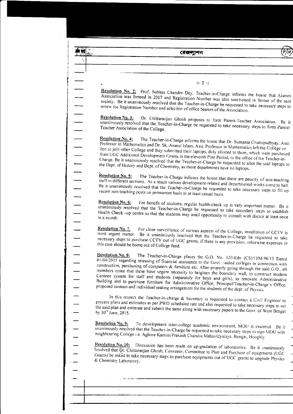|                                                                                                                          | রেজল্যশন                                                                                                                                                                                                                                                                                                                                                                                                                                                                                                                                                                                                                                                                                                                                        |  |
|--------------------------------------------------------------------------------------------------------------------------|-------------------------------------------------------------------------------------------------------------------------------------------------------------------------------------------------------------------------------------------------------------------------------------------------------------------------------------------------------------------------------------------------------------------------------------------------------------------------------------------------------------------------------------------------------------------------------------------------------------------------------------------------------------------------------------------------------------------------------------------------|--|
|                                                                                                                          |                                                                                                                                                                                                                                                                                                                                                                                                                                                                                                                                                                                                                                                                                                                                                 |  |
|                                                                                                                          |                                                                                                                                                                                                                                                                                                                                                                                                                                                                                                                                                                                                                                                                                                                                                 |  |
|                                                                                                                          |                                                                                                                                                                                                                                                                                                                                                                                                                                                                                                                                                                                                                                                                                                                                                 |  |
|                                                                                                                          | :: 2 ::                                                                                                                                                                                                                                                                                                                                                                                                                                                                                                                                                                                                                                                                                                                                         |  |
|                                                                                                                          | Resolution No. 2: Prof. Subhas Chandra Dey, Teacher-in-Charge informs the house that Alumni                                                                                                                                                                                                                                                                                                                                                                                                                                                                                                                                                                                                                                                     |  |
|                                                                                                                          | Association was formed in 2007 and Registration Number was also sanctioned in favour of the said<br>society. Be it unanimously resolved that the Teacher-in-Charge be requested to take necessary steps to<br>renew the Registration Number and selection of office bearers of the Association.                                                                                                                                                                                                                                                                                                                                                                                                                                                 |  |
|                                                                                                                          | <b>Resolution No. 3:</b><br>Dr. Chittaranjan Ghosh proposes to form Parent-Teacher Association. Be it<br>unanimously resolved that the Teacher-in-Charge be requested to take necessary steps to form Parent-<br>Teacher Association of the College.                                                                                                                                                                                                                                                                                                                                                                                                                                                                                            |  |
| 111111111                                                                                                                | Resolution No. 4:<br>The Teacher-in-Charge informs the house that Dr. Sumanta Chattopadhyay, Asst.<br>Professor in Mathematics and Dr. Sk. Anarul Islam, Asst. Professor in Mathematics left the College on<br>lien to join other College and they submitted their laptops, duly allotted to them, which were purchased<br>from UGC Additional Development Grants in the eleventh Plan Period, to the office of the Teacher-in-<br>Charge. Be it unanimously resolved that the Teacher-in-Charge be requested to allot the said laptops to<br>the Dept. of History and Dept. of Chemistry, as those departments have no laptops.                                                                                                                |  |
|                                                                                                                          | <b>Resolution No. 5:</b><br>The Teacher-in-Charge informs the house that there are paucity of non-teaching<br>staff in different sections. As a result various development-related and departmental works come to halt.<br>Be it unanimously resolved that the Teacher-in-Charge be requested to take necessary steps to fill up<br>vacant non-teaching posts on permanent basis or at least casual basis.                                                                                                                                                                                                                                                                                                                                      |  |
|                                                                                                                          | <b>Resolution No. 6:</b><br>For benefit of students, regular health-check up is very important matter. Be it<br>unanimously resolved that the Teacher-in-Charge be requested to take necessary steps to establish<br>Health Check -up centre so that the students may avail opportunity to consult with doctor at least once                                                                                                                                                                                                                                                                                                                                                                                                                    |  |
|                                                                                                                          | <b>Resolution No. 7:</b><br>For close surveillance of various aspects of the College, installation of CCTV is<br>most urgent matter. Be it unanimously resolved that the Teacher-in-Charge be requested to take<br>necessary steps to purchase CCTV out of UGC grants, if there is any provision, otherwise expenses in<br>this case should be borne out of College fund.                                                                                                                                                                                                                                                                                                                                                                       |  |
|                                                                                                                          | Resolution No. 8:<br>The Teacher-in-Charge places the G.O. No. 320-Edn (CS)/10M-96/13 Dated<br>$\frac{1}{2}$ 01/04/2015 regarding releasing of financial assistance to the Govt. -aided colleges in connection with<br>construction, purchasing of computers & furniture etc. After properly going through the said G.O., all<br>members opine that these have urgent necessity to heighten the boundary wall, to construct modern<br>Canteen system for staff and students (separately for boys and girls), to renovate Administrative<br>Building and to purchase furniture for Administrative Office, Principal/Teacher-in-Charge's Office,<br>proposed canteen and individual seating arrangement for the students of the dept. of Physics. |  |
|                                                                                                                          | In this respect the Teacher-in-charge & Secretary is requested to contact a Civil Engineer to<br>process plans and estimates as per PWD scheduled rate and also requested to take necessary steps to vet<br>the said plan and estimate and submit the same along with necessary papers to the Govt. of West Bengal<br>by 30th June, 2015.                                                                                                                                                                                                                                                                                                                                                                                                       |  |
|                                                                                                                          | Resolution No. 9:<br>To development inter-college academic environment, MOU is essential. Be it<br>unanimously resolved that the Teacher-in-Charge be requested to take necessary steps to sign MOU with<br>neighbouring College i.e. Aghore Kamini Prakash Chandra Mahavidyalaya, Bengai, Hooghly.                                                                                                                                                                                                                                                                                                                                                                                                                                             |  |
| $\begin{array}{c} \begin{array}{c} \begin{array}{c} \end{array} \\ \begin{array}{c} \end{array} \end{array} \end{array}$ | <b>Resolution No. 10:</b><br>Discussion has been made on up-gradation of laboratories. Be it unanimously<br>resolved that Dr. Chittaranjan Ghosh, Convener, Committee to Plan and Purchase of equipments (UGC<br>Grants) be asked to take necessary steps to purchase equipments out of UGC grants to upgrade Physics<br>& Chemistry Laboratory.                                                                                                                                                                                                                                                                                                                                                                                                |  |
|                                                                                                                          |                                                                                                                                                                                                                                                                                                                                                                                                                                                                                                                                                                                                                                                                                                                                                 |  |
|                                                                                                                          |                                                                                                                                                                                                                                                                                                                                                                                                                                                                                                                                                                                                                                                                                                                                                 |  |
|                                                                                                                          |                                                                                                                                                                                                                                                                                                                                                                                                                                                                                                                                                                                                                                                                                                                                                 |  |